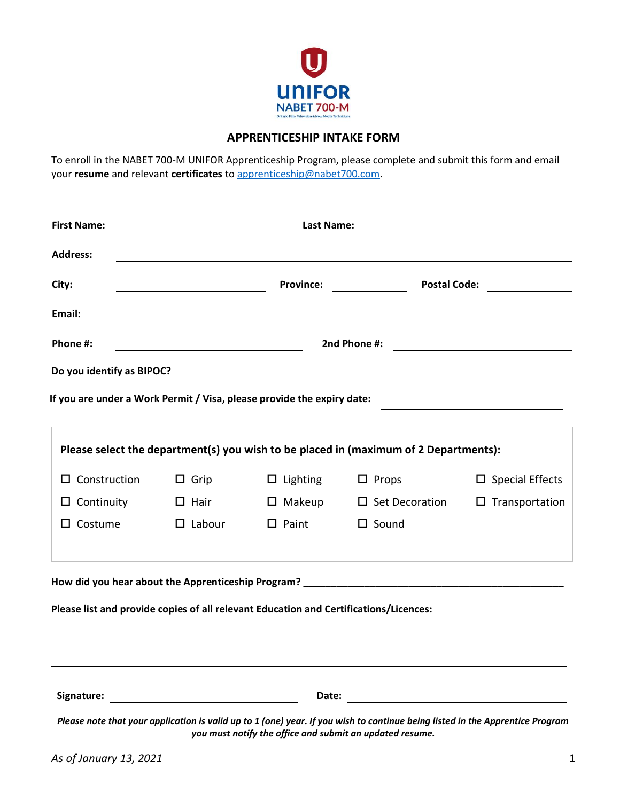

## **APPRENTICESHIP INTAKE FORM**

To enroll in the NABET 700-M UNIFOR Apprenticeship Program, please complete and submit this form and email your **resume** and relevant **certificates** to [apprenticeship@nabet700.com.](mailto:apprenticeship@nabet700.com)

| <b>First Name:</b>                                                                                                                    | <b>Last Name:</b><br><u> 1989 - Jan Stern Harry Harry Harry Harry Harry Harry Harry Harry Harry Harry Harry Harry Harry Harry Harry Har</u><br><u> 1980 - Johann Barbara, martin d</u> |  |                                  |                          |  |                        |  |
|---------------------------------------------------------------------------------------------------------------------------------------|----------------------------------------------------------------------------------------------------------------------------------------------------------------------------------------|--|----------------------------------|--------------------------|--|------------------------|--|
| <b>Address:</b>                                                                                                                       |                                                                                                                                                                                        |  |                                  |                          |  |                        |  |
| City:                                                                                                                                 |                                                                                                                                                                                        |  | Province: Province: Postal Code: |                          |  |                        |  |
| Email:                                                                                                                                | ,我们也不会有什么。""我们的人,我们也不会有什么?""我们的人,我们也不会有什么?""我们的人,我们的人,我们的人,我们的人,我们的人,我们的人,我们的人,我                                                                                                       |  |                                  |                          |  |                        |  |
| Phone #:                                                                                                                              | 2nd Phone #:                                                                                                                                                                           |  |                                  |                          |  |                        |  |
|                                                                                                                                       |                                                                                                                                                                                        |  |                                  |                          |  |                        |  |
| If you are under a Work Permit / Visa, please provide the expiry date:<br><u> 1989 - Johann Stoff, Amerikaansk politiker (* 1908)</u> |                                                                                                                                                                                        |  |                                  |                          |  |                        |  |
|                                                                                                                                       |                                                                                                                                                                                        |  |                                  |                          |  |                        |  |
| Please select the department(s) you wish to be placed in (maximum of 2 Departments):                                                  |                                                                                                                                                                                        |  |                                  |                          |  |                        |  |
| Construction<br>$\Box$                                                                                                                | $\Box$ Grip                                                                                                                                                                            |  | $\Box$ Lighting                  | $\Box$ Props             |  | $\Box$ Special Effects |  |
| $\Box$ Continuity                                                                                                                     | $\Box$ Hair                                                                                                                                                                            |  | $\Box$ Makeup                    | $\square$ Set Decoration |  | $\Box$ Transportation  |  |
| $\Box$ Costume                                                                                                                        | $\Box$ Labour                                                                                                                                                                          |  | $\Box$ Paint                     | $\square$ Sound          |  |                        |  |
|                                                                                                                                       |                                                                                                                                                                                        |  |                                  |                          |  |                        |  |
|                                                                                                                                       |                                                                                                                                                                                        |  |                                  |                          |  |                        |  |
| Please list and provide copies of all relevant Education and Certifications/Licences:                                                 |                                                                                                                                                                                        |  |                                  |                          |  |                        |  |
|                                                                                                                                       |                                                                                                                                                                                        |  |                                  |                          |  |                        |  |

| Date: |
|-------|
|       |

*Please note that your application is valid up to 1 (one) year. If you wish to continue being listed in the Apprentice Program you must notify the office and submit an updated resume.*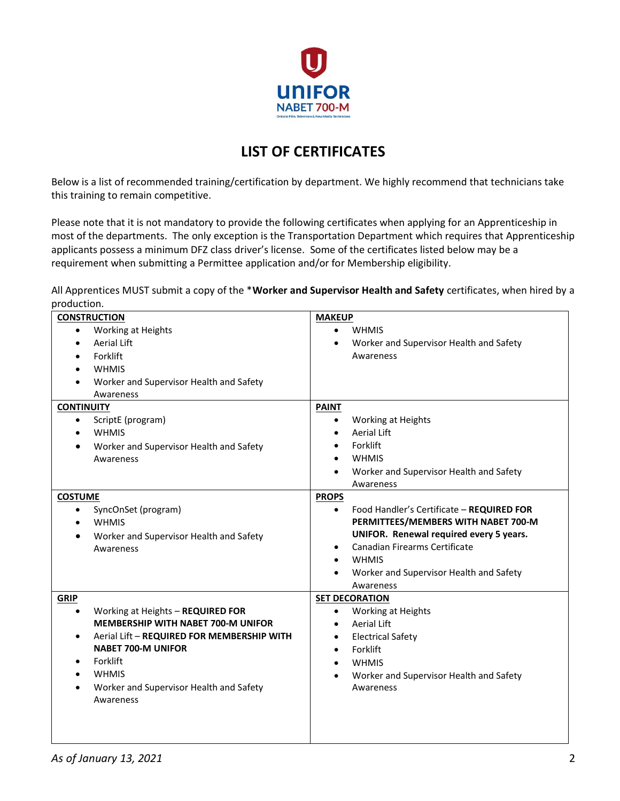

## **LIST OF CERTIFICATES**

Below is a list of recommended training/certification by department. We highly recommend that technicians take this training to remain competitive.

Please note that it is not mandatory to provide the following certificates when applying for an Apprenticeship in most of the departments. The only exception is the Transportation Department which requires that Apprenticeship applicants possess a minimum DFZ class driver's license. Some of the certificates listed below may be a requirement when submitting a Permittee application and/or for Membership eligibility.

All Apprentices MUST submit a copy of the \***Worker and Supervisor Health and Safety** certificates, when hired by a production.

| <b>CONSTRUCTION</b>                                     | <b>MAKEUP</b>                                          |  |  |
|---------------------------------------------------------|--------------------------------------------------------|--|--|
| Working at Heights<br>$\bullet$                         | <b>WHMIS</b><br>$\bullet$                              |  |  |
| Aerial Lift                                             | Worker and Supervisor Health and Safety                |  |  |
| Forklift                                                | Awareness                                              |  |  |
| <b>WHMIS</b>                                            |                                                        |  |  |
| Worker and Supervisor Health and Safety                 |                                                        |  |  |
| Awareness                                               |                                                        |  |  |
| <b>CONTINUITY</b>                                       | <b>PAINT</b>                                           |  |  |
| ScriptE (program)<br>$\bullet$                          | Working at Heights<br>$\bullet$                        |  |  |
| <b>WHMIS</b><br>$\bullet$                               | <b>Aerial Lift</b><br>$\bullet$                        |  |  |
| Worker and Supervisor Health and Safety                 | Forklift<br>$\bullet$                                  |  |  |
| Awareness                                               | <b>WHMIS</b><br>$\bullet$                              |  |  |
|                                                         | Worker and Supervisor Health and Safety                |  |  |
|                                                         | Awareness                                              |  |  |
| <b>COSTUME</b>                                          | <b>PROPS</b>                                           |  |  |
| SyncOnSet (program)<br>$\bullet$                        | Food Handler's Certificate - REQUIRED FOR<br>$\bullet$ |  |  |
| <b>WHMIS</b><br>$\bullet$                               | PERMITTEES/MEMBERS WITH NABET 700-M                    |  |  |
| Worker and Supervisor Health and Safety                 | UNIFOR. Renewal required every 5 years.                |  |  |
| Awareness                                               | Canadian Firearms Certificate                          |  |  |
|                                                         | <b>WHMIS</b><br>$\bullet$                              |  |  |
|                                                         | Worker and Supervisor Health and Safety                |  |  |
|                                                         | Awareness                                              |  |  |
| <b>GRIP</b>                                             | <b>SET DECORATION</b>                                  |  |  |
| Working at Heights - REQUIRED FOR<br>$\bullet$          | Working at Heights<br>$\bullet$                        |  |  |
| MEMBERSHIP WITH NABET 700-M UNIFOR                      | <b>Aerial Lift</b><br>$\bullet$                        |  |  |
| Aerial Lift - REQUIRED FOR MEMBERSHIP WITH<br>$\bullet$ | <b>Electrical Safety</b><br>$\bullet$                  |  |  |
| <b>NABET 700-M UNIFOR</b>                               | Forklift<br>$\bullet$                                  |  |  |
| Forklift<br>$\bullet$                                   | <b>WHMIS</b><br>$\bullet$                              |  |  |
| <b>WHMIS</b>                                            | Worker and Supervisor Health and Safety                |  |  |
| Worker and Supervisor Health and Safety<br>Awareness    | Awareness                                              |  |  |
|                                                         |                                                        |  |  |